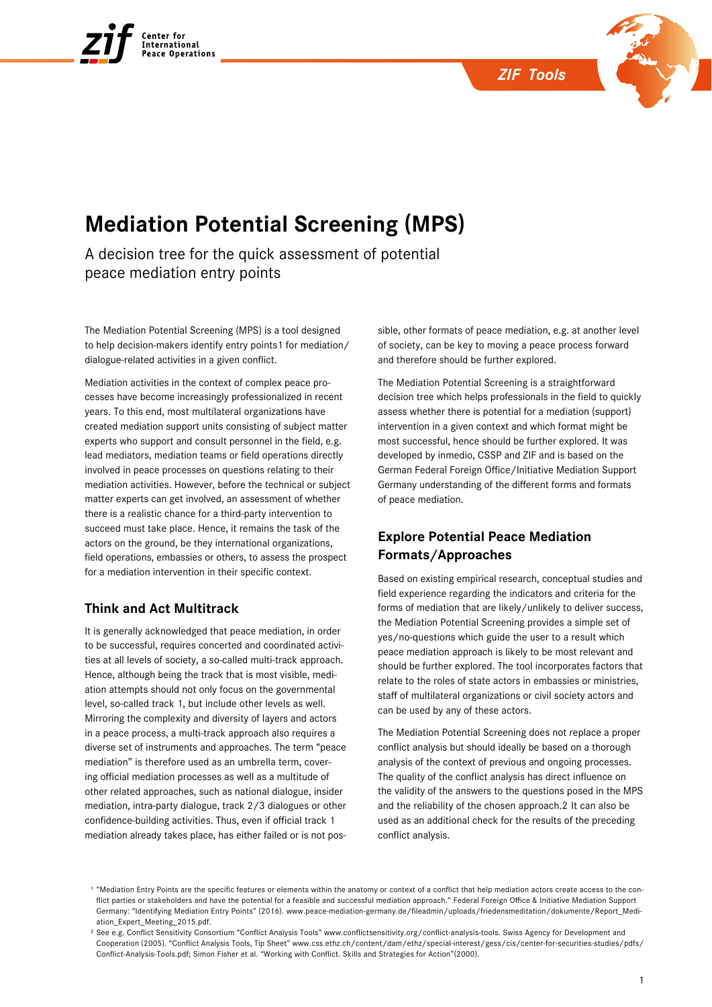



# **Mediation Potential Screening (MPS)**

A decision tree for the quick assessment of potential peace mediation entry points

The Mediation Potential Screening (MPS) is a tool designed to help decision-makers identify entry points1 for mediation/ dialogue-related activities in a given conflict.

Mediation activities in the context of complex peace processes have become increasingly professionalized in recent years. To this end, most multilateral organizations have created mediation support units consisting of subject matter experts who support and consult personnel in the field, e.g. lead mediators, mediation teams or field operations directly involved in peace processes on questions relating to their mediation activities. However, before the technical or subject matter experts can get involved, an assessment of whether there is a realistic chance for a third-party intervention to succeed must take place. Hence, it remains the task of the actors on the ground, be they international organizations, field operations, embassies or others, to assess the prospect for a mediation intervention in their specific context.

## **Think and Act Multitrack**

It is generally acknowledged that peace mediation, in order to be successful, requires concerted and coordinated activities at all levels of society, a so-called multi-track approach. Hence, although being the track that is most visible, mediation attempts should not only focus on the governmental level, so-called track 1, but include other levels as well. Mirroring the complexity and diversity of layers and actors in a peace process, a multi-track approach also requires a diverse set of instruments and approaches. The term "peace mediation" is therefore used as an umbrella term, covering official mediation processes as well as a multitude of other related approaches, such as national dialogue, insider mediation, intra-party dialogue, track 2/3 dialogues or other confidence-building activities. Thus, even if official track 1 mediation already takes place, has either failed or is not possible, other formats of peace mediation, e.g. at another level of society, can be key to moving a peace process forward and therefore should be further explored.

The Mediation Potential Screening is a straightforward decision tree which helps professionals in the field to quickly assess whether there is potential for a mediation (support) intervention in a given context and which format might be most successful, hence should be further explored. It was developed by inmedio, CSSP and ZIF and is based on the German Federal Foreign Office/Initiative Mediation Support Germany understanding of the different forms and formats of peace mediation.

# **Explore Potential Peace Mediation Formats/Approaches**

Based on existing empirical research, conceptual studies and field experience regarding the indicators and criteria for the forms of mediation that are likely/unlikely to deliver success, the Mediation Potential Screening provides a simple set of yes/no-questions which guide the user to a result which peace mediation approach is likely to be most relevant and should be further explored. The tool incorporates factors that relate to the roles of state actors in embassies or ministries, staff of multilateral organizations or civil society actors and can be used by any of these actors.

The Mediation Potential Screening does not replace a proper conflict analysis but should ideally be based on a thorough analysis of the context of previous and ongoing processes. The quality of the conflict analysis has direct influence on the validity of the answers to the questions posed in the MPS and the reliability of the chosen approach.2 It can also be used as an additional check for the results of the preceding conflict analysis.

<sup>&</sup>lt;sup>1</sup> "Mediation Entry Points are the specific features or elements within the anatomy or context of a conflict that help mediation actors create access to the conflict parties or stakeholders and have the potential for a feasible and successful mediation approach." Federal Foreign Office & Initiative Mediation Support Germany: "Identifying Mediation Entry Points" (2016). [www.peace-mediation-germany.de/fileadmin/uploads/friedensmeditation/dokumente/Report\\_Medi](http://www.peace-mediation-germany.de/fileadmin/uploads/friedensmeditation/dokumente/Report_Mediation_Expert_Meeting_2015.pdf)[ation\\_Expert\\_Meeting\\_2015.pdf](http://www.peace-mediation-germany.de/fileadmin/uploads/friedensmeditation/dokumente/Report_Mediation_Expert_Meeting_2015.pdf).

² See e.g. Conflict Sensitivity Consortium "Conflict Analysis Tools" [www.conflictsensitivity.org/conflict-analysis-tools.](www.conflictsensitivity.org/conflict-analysis-tools) Swiss Agency for Development and Cooperation (2005). "Conflict Analysis Tools, Tip Sheet" [www.css.ethz.ch/content/dam/ethz/special-interest/gess/cis/center-for-securities-studies/pdfs/](www.css.ethz.ch/content/dam/ethz/special-interest/gess/cis/center-for-securities-studies/pdfs/Conflict-Analysis-Tools.pdf) [Conflict-Analysis-Tools.pdf;](www.css.ethz.ch/content/dam/ethz/special-interest/gess/cis/center-for-securities-studies/pdfs/Conflict-Analysis-Tools.pdf) Simon Fisher et al. "Working with Conflict. Skills and Strategies for Action"(2000).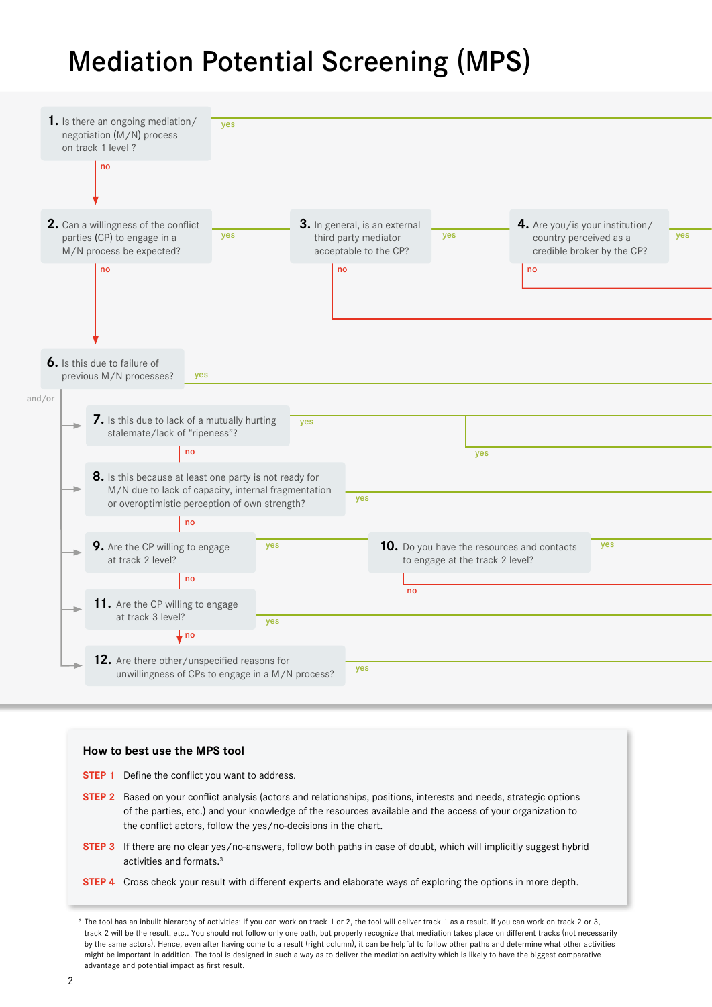# Mediation Potential Screening (MPS)



### **How to best use the MPS tool**

**STEP 1** Define the conflict you want to address.

- **STEP 2** Based on your conflict analysis (actors and relationships, positions, interests and needs, strategic options of the parties, etc.) and your knowledge of the resources available and the access of your organization to the conflict actors, follow the yes/no-decisions in the chart.
- **STEP 3** If there are no clear yes/no-answers, follow both paths in case of doubt, which will implicitly suggest hybrid activities and formats.3
- **STEP 4** Cross check your result with different experts and elaborate ways of exploring the options in more depth.

<sup>&</sup>lt;sup>3</sup> The tool has an inbuilt hierarchy of activities: If you can work on track 1 or 2, the tool will deliver track 1 as a result. If you can work on track 2 or 3, track 2 will be the result, etc.. You should not follow only one path, but properly recognize that mediation takes place on different tracks (not necessarily by the same actors). Hence, even after having come to a result (right column), it can be helpful to follow other paths and determine what other activities might be important in addition. The tool is designed in such a way as to deliver the mediation activity which is likely to have the biggest comparative advantage and potential impact as first result.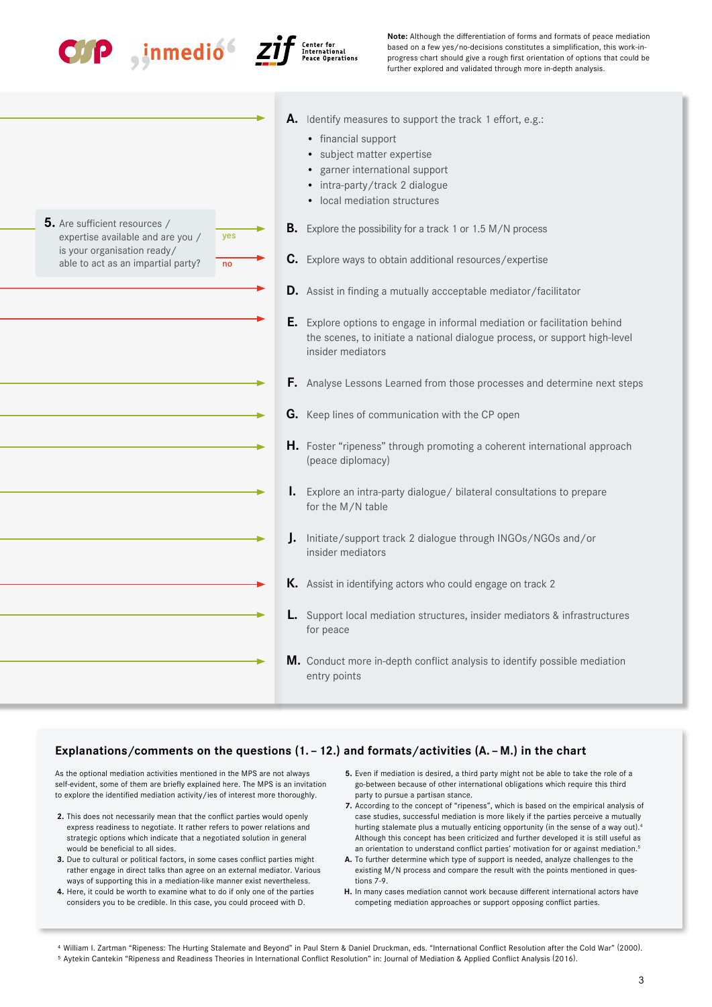

**5.** Are sufficient resources /

expertise available and are you / is your organisation ready/ able to act as an impartial party?



no

yes



**Note:** Although the differentiation of forms and formats of peace mediation based on a few yes/no-decisions constitutes a simplification, this work-inprogress chart should give a rough first orientation of options that could be further explored and validated through more in-depth analysis.

- **A.** Identify measures to support the track 1 effort, e.g.:
	- financial support
	- subject matter expertise
	- garner international support
	- intra-party/track 2 dialogue
	- local mediation structures
- **B.** Explore the possibility for a track 1 or 1.5 M/N process
- **C.** Explore ways to obtain additional resources/expertise
- **D.** Assist in finding a mutually accceptable mediator/facilitator
- **E.** Explore options to engage in informal mediation or facilitation behind the scenes, to initiate a national dialogue process, or support high-level insider mediators
- **F.** Analyse Lessons Learned from those processes and determine next steps
- **G.** Keep lines of communication with the CP open
- **H.** Foster "ripeness" through promoting a coherent international approach (peace diplomacy)
- **I.** Explore an intra-party dialogue/ bilateral consultations to prepare for the M/N table
- **J.** Initiate/support track 2 dialogue through INGOs/NGOs and/or insider mediators
- **K.** Assist in identifying actors who could engage on track 2
- **L.** Support local mediation structures, insider mediators & infrastructures for peace
- **M.** Conduct more in-depth conflict analysis to identify possible mediation entry points

### **Explanations/comments on the questions (1. – 12.) and formats/activities (A. – M.) in the chart**

As the optional mediation activities mentioned in the MPS are not always self-evident, some of them are briefly explained here. The MPS is an invitation to explore the identified mediation activity/ies of interest more thoroughly.

- **2.** This does not necessarily mean that the conflict parties would openly express readiness to negotiate. It rather refers to power relations and strategic options which indicate that a negotiated solution in general would be beneficial to all sides.
- **3.** Due to cultural or political factors, in some cases conflict parties might rather engage in direct talks than agree on an external mediator. Various ways of supporting this in a mediation-like manner exist nevertheless.
- **4.** Here, it could be worth to examine what to do if only one of the parties considers you to be credible. In this case, you could proceed with D.
- **5.** Even if mediation is desired, a third party might not be able to take the role of a go-between because of other international obligations which require this third party to pursue a partisan stance.
- **7.** According to the concept of "ripeness", which is based on the empirical analysis of case studies, successful mediation is more likely if the parties perceive a mutually hurting stalemate plus a mutually enticing opportunity (in the sense of a way out).<sup>4</sup> Although this concept has been criticized and further developed it is still useful as an orientation to understand conflict parties' motivation for or against mediation.<sup>5</sup>
- **A.** To further determine which type of support is needed, analyze challenges to the existing M/N process and compare the result with the points mentioned in questions 7-9.
- **H.** In many cases mediation cannot work because different international actors have competing mediation approaches or support opposing conflict parties.

⁴ William I. Zartman "Ripeness: The Hurting Stalemate and Beyond" in Paul Stern & Daniel Druckman, eds. "International Conflict Resolution after the Cold War" (2000). ⁵ Aytekin Cantekin "Ripeness and Readiness Theories in International Conflict Resolution" in: Journal of Mediation & Applied Conflict Analysis (2016).